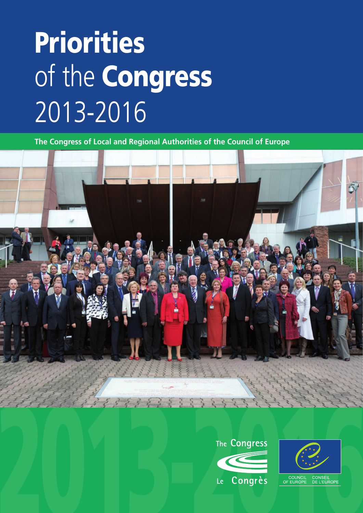# Priorities of the Congress 2013-2016

**The Congress of Local and Regional Authorities of the Council of Europe**



![](_page_0_Picture_3.jpeg)

![](_page_0_Picture_4.jpeg)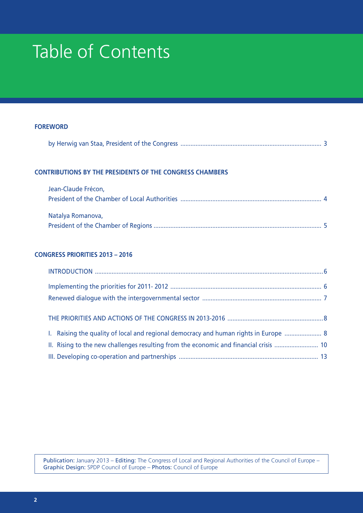### Table of Contents

| <b>FOREWORD</b> |  |  |
|-----------------|--|--|
|                 |  |  |

|--|--|--|--|

#### **CONTRIBUTIONS BY THE PRESIDENTS OF THE CONGRESS CHAMBERS**

| Jean-Claude Frécon, |  |
|---------------------|--|
|                     |  |
|                     |  |
| Natalya Romanova,   |  |
|                     |  |

### **CONGRESS PRIORITIES 2013 – 2016**

| 1. Raising the quality of local and regional democracy and human rights in Europe  8 |  |
|--------------------------------------------------------------------------------------|--|
|                                                                                      |  |
|                                                                                      |  |

Publication: January 2013 – Editing: The Congress of Local and Regional Authorities of the Council of Europe – Graphic Design: SPDP Council of Europe – Photos: Council of Europe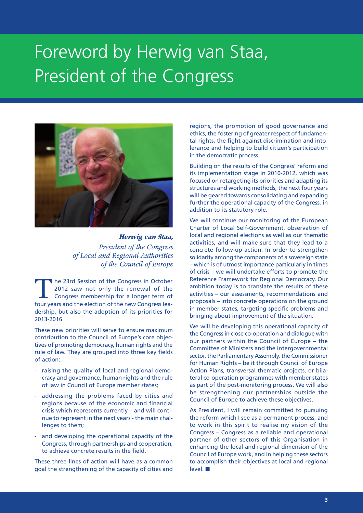### Foreword by Herwig van Staa, President of the Congress

![](_page_2_Picture_1.jpeg)

**Herwig van Staa,**  *President of the Congress of Local and Regional Authorities of the Council of Europe*

The 23rd Session of the Congress in October<br>2012 saw not only the renewal of the<br>Congress membership for a longer term of<br>four years and the election of the new Congress lea-2012 saw not only the renewal of the Congress membership for a longer term of four years and the election of the new Congress leadership, but also the adoption of its priorities for 2013-2016.

These new priorities will serve to ensure maximum contribution to the Council of Europe's core objectives of promoting democracy, human rights and the rule of law. They are grouped into three key fields of action:

- raising the quality of local and regional democracy and governance, human rights and the rule of law in Council of Europe member states;
- addressing the problems faced by cities and regions because of the economic and financial crisis which represents currently – and will continue to represent in the next years - the main challenges to them;
- and developing the operational capacity of the Congress, through partnerships and cooperation, to achieve concrete results in the field.

These three lines of action will have as a common goal the strengthening of the capacity of cities and regions, the promotion of good governance and ethics, the fostering of greater respect of fundamental rights, the fight against discrimination and intolerance and helping to build citizen's participation in the democratic process.

Building on the results of the Congress' reform and its implementation stage in 2010-2012, which was focused on retargeting its priorities and adapting its structures and working methods, the next four years will be geared towards consolidating and expanding further the operational capacity of the Congress, in addition to its statutory role.

We will continue our monitoring of the European Charter of Local Self-Government, observation of local and regional elections as well as our thematic activities, and will make sure that they lead to a concrete follow-up action. In order to strengthen solidarity among the components of a sovereign state – which is of utmost importance particularly in times of crisis – we will undertake efforts to promote the Reference Framework for Regional Democracy. Our ambition today is to translate the results of these activities – our assessments, recommendations and proposals – into concrete operations on the ground in member states, targeting specific problems and bringing about improvement of the situation.

We will be developing this operational capacity of the Congress in close co-operation and dialogue with our partners within the Council of Europe – the Committee of Ministers and the intergovernmental sector, the Parliamentary Assembly, the Commissioner for Human Rights – be it through Council of Europe Action Plans, transversal thematic projects, or bilateral co-operation programmes with member states as part of the post-monitoring process. We will also be strengthening our partnerships outside the Council of Europe to achieve these objectives.

As President, I will remain committed to pursuing the reform which I see as a permanent process, and to work in this spirit to realise my vision of the Congress – Congress as a reliable and operational partner of other sectors of this Organisation in enhancing the local and regional dimension of the Council of Europe work, and in helping these sectors to accomplish their objectives at local and regional  $level.$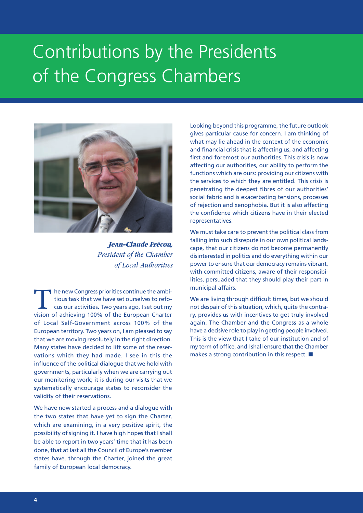### Contributions by the Presidents of the Congress Chambers

![](_page_3_Picture_1.jpeg)

**Jean-Claude Frécon,**  *President of the Chamber of Local Authorities*

The new Congress priorities continue the ambi-<br>tious task that we have set ourselves to refo-<br>cus our activities. Two years ago, I set out my tious task that we have set ourselves to refocus our activities. Two years ago, I set out my vision of achieving 100% of the European Charter of Local Self-Government across 100% of the European territory. Two years on, I am pleased to say that we are moving resolutely in the right direction. Many states have decided to lift some of the reservations which they had made. I see in this the influence of the political dialogue that we hold with governments, particularly when we are carrying out our monitoring work; it is during our visits that we systematically encourage states to reconsider the validity of their reservations.

We have now started a process and a dialogue with the two states that have yet to sign the Charter, which are examining, in a very positive spirit, the possibility of signing it. I have high hopes that I shall be able to report in two years' time that it has been done, that at last all the Council of Europe's member states have, through the Charter, joined the great family of European local democracy.

Looking beyond this programme, the future outlook gives particular cause for concern. I am thinking of what may lie ahead in the context of the economic and financial crisis that is affecting us, and affecting first and foremost our authorities. This crisis is now affecting our authorities, our ability to perform the functions which are ours: providing our citizens with the services to which they are entitled. This crisis is penetrating the deepest fibres of our authorities' social fabric and is exacerbating tensions, processes of rejection and xenophobia. But it is also affecting the confidence which citizens have in their elected representatives.

We must take care to prevent the political class from falling into such disrepute in our own political landscape, that our citizens do not become permanently disinterested in politics and do everything within our power to ensure that our democracy remains vibrant, with committed citizens, aware of their responsibilities, persuaded that they should play their part in municipal affairs.

We are living through difficult times, but we should not despair of this situation, which, quite the contrary, provides us with incentives to get truly involved again. The Chamber and the Congress as a whole have a decisive role to play in getting people involved. This is the view that I take of our institution and of my term of office, and I shall ensure that the Chamber makes a strong contribution in this respect.  $\blacksquare$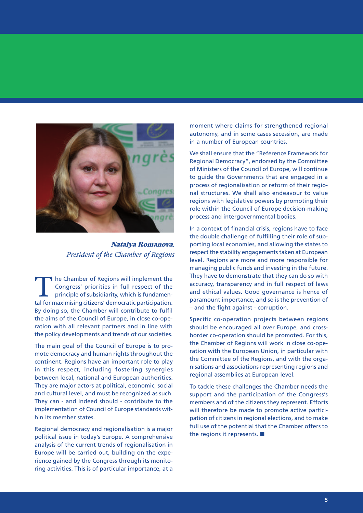![](_page_4_Picture_0.jpeg)

**Natalya Romanova***, President of the Chamber of Regions*

The Chamber of Regions will implement the Congress' priorities in full respect of the principle of subsidiarity, which is fundamental for maximising citizens' democratic participation. By doing so, the Chamber will contribute to fulfil the aims of the Council of Europe, in close co-operation with all relevant partners and in line with the policy developments and trends of our societies.

The main goal of the Council of Europe is to promote democracy and human rights throughout the continent. Regions have an important role to play in this respect, including fostering synergies between local, national and European authorities. They are major actors at political, economic, social and cultural level, and must be recognized as such. They can - and indeed should - contribute to the implementation of Council of Europe standards within its member states.

Regional democracy and regionalisation is a major political issue in today's Europe. A comprehensive analysis of the current trends of regionalisation in Europe will be carried out, building on the experience gained by the Congress through its monitoring activities. This is of particular importance, at a moment where claims for strengthened regional autonomy, and in some cases secession, are made in a number of European countries.

We shall ensure that the "Reference Framework for Regional Democracy", endorsed by the Committee of Ministers of the Council of Europe, will continue to guide the Governments that are engaged in a process of regionalisation or reform of their regional structures. We shall also endeavour to value regions with legislative powers by promoting their role within the Council of Europe decision-making process and intergovernmental bodies.

In a context of financial crisis, regions have to face the double challenge of fulfilling their role of supporting local economies, and allowing the states to respect the stability engagements taken at European level. Regions are more and more responsible for managing public funds and investing in the future. They have to demonstrate that they can do so with accuracy, transparency and in full respect of laws and ethical values. Good governance is hence of paramount importance, and so is the prevention of – and the fight against - corruption.

Specific co-operation projects between regions should be encouraged all over Europe, and crossborder co-operation should be promoted. For this, the Chamber of Regions will work in close co-operation with the European Union, in particular with the Committee of the Regions, and with the organisations and associations representing regions and regional assemblies at European level.

To tackle these challenges the Chamber needs the support and the participation of the Congress's members and of the citizens they represent. Efforts will therefore be made to promote active participation of citizens in regional elections, and to make full use of the potential that the Chamber offers to the regions it represents.  $\blacksquare$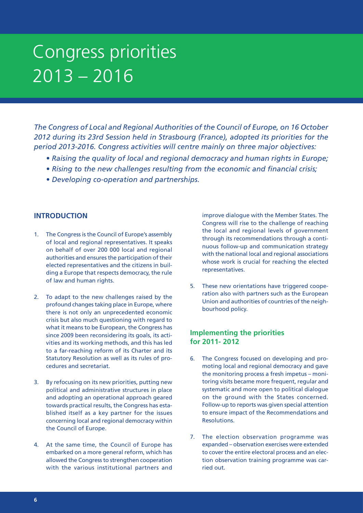*The Congress of Local and Regional Authorities of the Council of Europe, on 16 October 2012 during its 23rd Session held in Strasbourg (France), adopted its priorities for the period 2013-2016. Congress activities will centre mainly on three major objectives:*

- *Raising the quality of local and regional democracy and human rights in Europe;*
- *Rising to the new challenges resulting from the economic and financial crisis;*
- *Developing co-operation and partnerships.*

#### **INTRODUCTION**

- 1. The Congress is the Council of Europe's assembly of local and regional representatives. It speaks on behalf of over 200 000 local and regional authorities and ensures the participation of their elected representatives and the citizens in building a Europe that respects democracy, the rule of law and human rights.
- 2. To adapt to the new challenges raised by the profound changes taking place in Europe, where there is not only an unprecedented economic crisis but also much questioning with regard to what it means to be European, the Congress has since 2009 been reconsidering its goals, its activities and its working methods, and this has led to a far-reaching reform of its Charter and its Statutory Resolution as well as its rules of procedures and secretariat.
- 3. By refocusing on its new priorities, putting new political and administrative structures in place and adopting an operational approach geared towards practical results, the Congress has established itself as a key partner for the issues concerning local and regional democracy within the Council of Europe.
- 4. At the same time, the Council of Europe has embarked on a more general reform, which has allowed the Congress to strengthen cooperation with the various institutional partners and

improve dialogue with the Member States. The Congress will rise to the challenge of reaching the local and regional levels of government through its recommendations through a continuous follow-up and communication strategy with the national local and regional associations whose work is crucial for reaching the elected representatives.

5. These new orientations have triggered cooperation also with partners such as the European Union and authorities of countries of the neighbourhood policy.

#### **Implementing the priorities for 2011- 2012**

- 6. The Congress focused on developing and promoting local and regional democracy and gave the monitoring process a fresh impetus – monitoring visits became more frequent, regular and systematic and more open to political dialogue on the ground with the States concerned. Follow-up to reports was given special attention to ensure impact of the Recommendations and Resolutions.
- 7. The election observation programme was expanded – observation exercises were extended to cover the entire electoral process and an election observation training programme was carried out.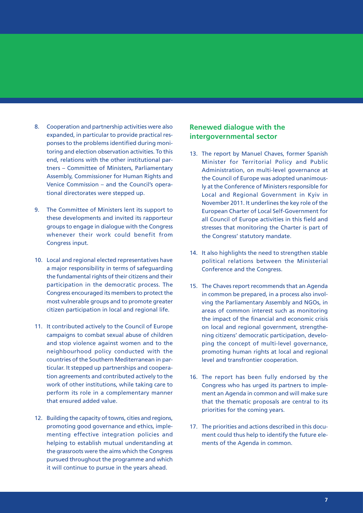- 8. Cooperation and partnership activities were also expanded, in particular to provide practical responses to the problems identified during monitoring and election observation activities. To this end, relations with the other institutional partners – Committee of Ministers, Parliamentary Assembly, Commissioner for Human Rights and Venice Commission – and the Council's operational directorates were stepped up.
- 9. The Committee of Ministers lent its support to these developments and invited its rapporteur groups to engage in dialogue with the Congress whenever their work could benefit from Congress input.
- 10. Local and regional elected representatives have a major responsibility in terms of safeguarding the fundamental rights of their citizens and their participation in the democratic process. The Congress encouraged its members to protect the most vulnerable groups and to promote greater citizen participation in local and regional life.
- 11. It contributed actively to the Council of Europe campaigns to combat sexual abuse of children and stop violence against women and to the neighbourhood policy conducted with the countries of the Southern Mediterranean in particular. It stepped up partnerships and cooperation agreements and contributed actively to the work of other institutions, while taking care to perform its role in a complementary manner that ensured added value.
- 12. Building the capacity of towns, cities and regions, promoting good governance and ethics, implementing effective integration policies and helping to establish mutual understanding at the grassroots were the aims which the Congress pursued throughout the programme and which it will continue to pursue in the years ahead.

### **Renewed dialogue with the intergovernmental sector**

- 13. The report by Manuel Chaves, former Spanish Minister for Territorial Policy and Public Administration, on multi-level governance at the Council of Europe was adopted unanimously at the Conference of Ministers responsible for Local and Regional Government in Kyiv in November 2011. It underlines the key role of the European Charter of Local Self-Government for all Council of Europe activities in this field and stresses that monitoring the Charter is part of the Congress' statutory mandate.
- 14. It also highlights the need to strengthen stable political relations between the Ministerial Conference and the Congress.
- 15. The Chaves report recommends that an Agenda in common be prepared, in a process also involving the Parliamentary Assembly and NGOs, in areas of common interest such as monitoring the impact of the financial and economic crisis on local and regional government, strengthening citizens' democratic participation, developing the concept of multi-level governance, promoting human rights at local and regional level and transfrontier cooperation.
- 16. The report has been fully endorsed by the Congress who has urged its partners to implement an Agenda in common and will make sure that the thematic proposals are central to its priorities for the coming years.
- 17. The priorities and actions described in this document could thus help to identify the future elements of the Agenda in common.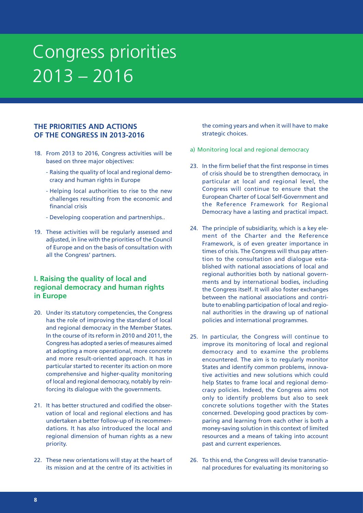### **THE PRIORITIES AND ACTIONS OF THE CONGRESS IN 2013-2016**

- 18. From 2013 to 2016, Congress activities will be based on three major objectives:
	- Raising the quality of local and regional democracy and human rights in Europe
	- Helping local authorities to rise to the new challenges resulting from the economic and financial crisis
	- Developing cooperation and partnerships..
- 19. These activities will be regularly assessed and adjusted, in line with the priorities of the Council of Europe and on the basis of consultation with all the Congress' partners.

### **I. Raising the quality of local and regional democracy and human rights in Europe**

- 20. Under its statutory competencies, the Congress has the role of improving the standard of local and regional democracy in the Member States. In the course of its reform in 2010 and 2011, the Congress has adopted a series of measures aimed at adopting a more operational, more concrete and more result-oriented approach. It has in particular started to recenter its action on more comprehensive and higher-quality monitoring of local and regional democracy, notably by reinforcing its dialogue with the governments.
- 21. It has better structured and codified the observation of local and regional elections and has undertaken a better follow-up of its recommendations. It has also introduced the local and regional dimension of human rights as a new priority.
- 22. These new orientations will stay at the heart of its mission and at the centre of its activities in

the coming years and when it will have to make strategic choices.

- a) Monitoring local and regional democracy
- 23. In the firm belief that the first response in times of crisis should be to strengthen democracy, in particular at local and regional level, the Congress will continue to ensure that the European Charter of Local Self-Government and the Reference Framework for Regional Democracy have a lasting and practical impact.
- 24. The principle of subsidiarity, which is a key element of the Charter and the Reference Framework, is of even greater importance in times of crisis. The Congress will thus pay attention to the consultation and dialogue established with national associations of local and regional authorities both by national governments and by international bodies, including the Congress itself. It will also foster exchanges between the national associations and contribute to enabling participation of local and regional authorities in the drawing up of national policies and international programmes.
- 25. In particular, the Congress will continue to improve its monitoring of local and regional democracy and to examine the problems encountered. The aim is to regularly monitor States and identify common problems, innovative activities and new solutions which could help States to frame local and regional democracy policies. Indeed, the Congress aims not only to identify problems but also to seek concrete solutions together with the States concerned. Developing good practices by comparing and learning from each other is both a money-saving solution in this context of limited resources and a means of taking into account past and current experiences.
- 26. To this end, the Congress will devise transnational procedures for evaluating its monitoring so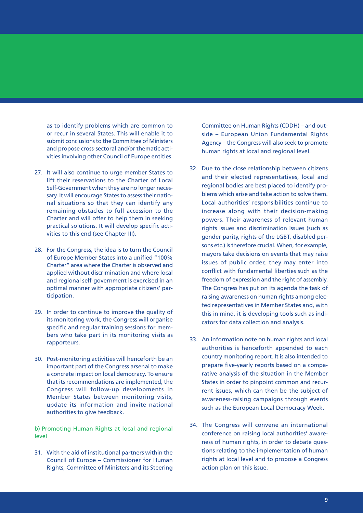as to identify problems which are common to or recur in several States. This will enable it to submit conclusions to the Committee of Ministers and propose cross-sectoral and/or thematic activities involving other Council of Europe entities.

- 27. It will also continue to urge member States to lift their reservations to the Charter of Local Self-Government when they are no longer necessary. It will encourage States to assess their national situations so that they can identify any remaining obstacles to full accession to the Charter and will offer to help them in seeking practical solutions. It will develop specific activities to this end (see Chapter III).
- 28. For the Congress, the idea is to turn the Council of Europe Member States into a unified "100% Charter" area where the Charter is observed and applied without discrimination and where local and regional self-government is exercised in an optimal manner with appropriate citizens' participation.
- 29. In order to continue to improve the quality of its monitoring work, the Congress will organise specific and regular training sessions for members who take part in its monitoring visits as rapporteurs.
- 30. Post-monitoring activities will henceforth be an important part of the Congress arsenal to make a concrete impact on local democracy. To ensure that its recommendations are implemented, the Congress will follow-up developments in Member States between monitoring visits, update its information and invite national authorities to give feedback.

b) Promoting Human Rights at local and regional level

31. With the aid of institutional partners within the Council of Europe – Commissioner for Human Rights, Committee of Ministers and its Steering

Committee on Human Rights (CDDH) – and outside – European Union Fundamental Rights Agency – the Congress will also seek to promote human rights at local and regional level.

- 32. Due to the close relationship between citizens and their elected representatives, local and regional bodies are best placed to identify problems which arise and take action to solve them. Local authorities' responsibilities continue to increase along with their decision-making powers. Their awareness of relevant human rights issues and discrimination issues (such as gender parity, rights of the LGBT, disabled persons etc.) is therefore crucial. When, for example, mayors take decisions on events that may raise issues of public order, they may enter into conflict with fundamental liberties such as the freedom of expression and the right of assembly. The Congress has put on its agenda the task of raising awareness on human rights among elected representatives in Member States and, with this in mind, it is developing tools such as indicators for data collection and analysis.
- 33. An information note on human rights and local authorities is henceforth appended to each country monitoring report. It is also intended to prepare five-yearly reports based on a comparative analysis of the situation in the Member States in order to pinpoint common and recurrent issues, which can then be the subject of awareness-raising campaigns through events such as the European Local Democracy Week.
- 34. The Congress will convene an international conference on raising local authorities' awareness of human rights, in order to debate questions relating to the implementation of human rights at local level and to propose a Congress action plan on this issue.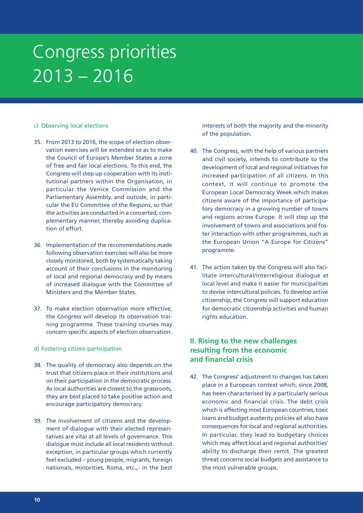#### c) Observing local elections

- 35. From 2013 to 2016, the scope of election observation exercises will be extended so as to make the Council of Europe's Member States a zone of free and fair local elections. To this end, the Congress will step up cooperation with its institutional partners within the Organisation, in particular the Venice Commission and the Parliamentary Assembly, and outside, in particular the EU Committee of the Regions, so that the activities are conducted in a concerted, complementary manner, thereby avoiding duplication of effort.
- 36. Implementation of the recommendations made following observation exercises will also be more closely monitored, both by systematically taking account of their conclusions in the monitoring of local and regional democracy and by means of increased dialogue with the Committee of Ministers and the Member States.
- 37. To make election observation more effective, the Congress will develop its observation training programme. These training courses may concern specific aspects of election observation.
- d) Fostering citizen participation
- 38. The quality of democracy also depends on the trust that citizens place in their institutions and on their participation in the democratic process. As local authorities are closest to the grassroots, they are best placed to take positive action and encourage participatory democracy.
- 39. The involvement of citizens and the development of dialogue with their elected representatives are vital at all levels of governance. This dialogue must include all local residents without exception, in particular groups which currently feel excluded – young people, migrants, foreign nationals, minorities, Roma, etc.,- in the best

interests of both the majority and the minority of the population.

- 40. The Congress, with the help of various partners and civil society, intends to contribute to the development of local and regional initiatives for increased participation of all citizens. In this context, it will continue to promote the European Local Democracy Week which makes citizens aware of the importance of participatory democracy in a growing number of towns and regions across Europe. It will step up the involvement of towns and associations and foster interaction with other programmes, such as the European Union "A Europe for Citizens" programme.
- 41. The action taken by the Congress will also facilitate intercultural/interreligious dialogue at local level and make it easier for municipalities to devise intercultural policies. To develop active citizenship, the Congress will support education for democratic citizenship activities and human rights education.

### **II. Rising to the new challenges resulting from the economic and financial crisis**

42. The Congress' adjustment to changes has taken place in a European context which, since 2008, has been characterised by a particularly serious economic and financial crisis. The debt crisis which is affecting most European countries, toxic loans and budget austerity policies all also have consequences for local and regional authorities. In particular, they lead to budgetary choices which may affect local and regional authorities' ability to discharge their remit. The greatest threat concerns social budgets and assistance to the most vulnerable groups.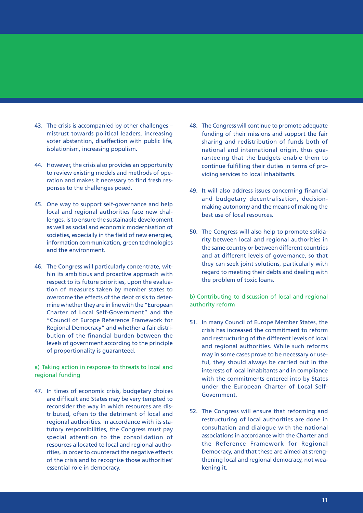- 43. The crisis is accompanied by other challenges mistrust towards political leaders, increasing voter abstention, disaffection with public life, isolationism, increasing populism.
- 44. However, the crisis also provides an opportunity to review existing models and methods of operation and makes it necessary to find fresh responses to the challenges posed.
- 45. One way to support self-governance and help local and regional authorities face new challenges, is to ensure the sustainable development as well as social and economic modernisation of societies, especially in the field of new energies, information communication, green technologies and the environment.
- 46. The Congress will particularly concentrate, within its ambitious and proactive approach with respect to its future priorities, upon the evaluation of measures taken by member states to overcome the effects of the debt crisis to determine whether they are in line with the "European Charter of Local Self-Government" and the "Council of Europe Reference Framework for Regional Democracy" and whether a fair distribution of the financial burden between the levels of government according to the principle of proportionality is guaranteed.

a) Taking action in response to threats to local and regional funding

47. In times of economic crisis, budgetary choices are difficult and States may be very tempted to reconsider the way in which resources are distributed, often to the detriment of local and regional authorities. In accordance with its statutory responsibilities, the Congress must pay special attention to the consolidation of resources allocated to local and regional authorities, in order to counteract the negative effects of the crisis and to recognise those authorities' essential role in democracy.

- 48. The Congress will continue to promote adequate funding of their missions and support the fair sharing and redistribution of funds both of national and international origin, thus guaranteeing that the budgets enable them to continue fulfilling their duties in terms of providing services to local inhabitants.
- 49. It will also address issues concerning financial and budgetary decentralisation, decisionmaking autonomy and the means of making the best use of local resources.
- 50. The Congress will also help to promote solidarity between local and regional authorities in the same country or between different countries and at different levels of governance, so that they can seek joint solutions, particularly with regard to meeting their debts and dealing with the problem of toxic loans.

b) Contributing to discussion of local and regional authority reform

- 51. In many Council of Europe Member States, the crisis has increased the commitment to reform and restructuring of the different levels of local and regional authorities. While such reforms may in some cases prove to be necessary or useful, they should always be carried out in the interests of local inhabitants and in compliance with the commitments entered into by States under the European Charter of Local Self-Government.
- 52. The Congress will ensure that reforming and restructuring of local authorities are done in consultation and dialogue with the national associations in accordance with the Charter and the Reference Framework for Regional Democracy, and that these are aimed at strengthening local and regional democracy, not weakening it.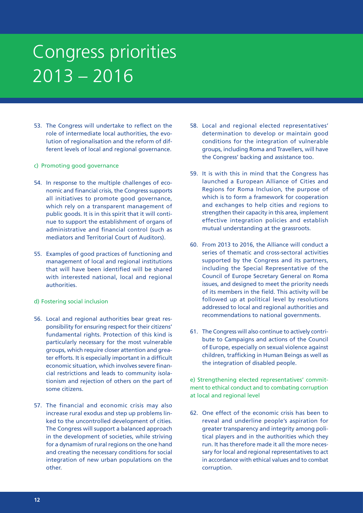- 53. The Congress will undertake to reflect on the role of intermediate local authorities, the evolution of regionalisation and the reform of different levels of local and regional governance.
- c) Promoting good governance
- 54. In response to the multiple challenges of economic and financial crisis, the Congress supports all initiatives to promote good governance, which rely on a transparent management of public goods. It is in this spirit that it will continue to support the establishment of organs of administrative and financial control (such as mediators and Territorial Court of Auditors).
- 55. Examples of good practices of functioning and management of local and regional institutions that will have been identified will be shared with interested national, local and regional authorities.
- d) Fostering social inclusion
- 56. Local and regional authorities bear great responsibility for ensuring respect for their citizens' fundamental rights. Protection of this kind is particularly necessary for the most vulnerable groups, which require closer attention and greater efforts. It is especially important in a difficult economic situation, which involves severe financial restrictions and leads to community isolationism and rejection of others on the part of some citizens.
- 57. The financial and economic crisis may also increase rural exodus and step up problems linked to the uncontrolled development of cities. The Congress will support a balanced approach in the development of societies, while striving for a dynamism of rural regions on the one hand and creating the necessary conditions for social integration of new urban populations on the other.
- 58. Local and regional elected representatives' determination to develop or maintain good conditions for the integration of vulnerable groups, including Roma and Travellers, will have the Congress' backing and assistance too.
- 59. It is with this in mind that the Congress has launched a European Alliance of Cities and Regions for Roma Inclusion, the purpose of which is to form a framework for cooperation and exchanges to help cities and regions to strengthen their capacity in this area, implement effective integration policies and establish mutual understanding at the grassroots.
- 60. From 2013 to 2016, the Alliance will conduct a series of thematic and cross-sectoral activities supported by the Congress and its partners, including the Special Representative of the Council of Europe Secretary General on Roma issues, and designed to meet the priority needs of its members in the field. This activity will be followed up at political level by resolutions addressed to local and regional authorities and recommendations to national governments.
- 61. The Congress will also continue to actively contribute to Campaigns and actions of the Council of Europe, especially on sexual violence against children, trafficking in Human Beings as well as the integration of disabled people.

e) Strengthening elected representatives' commitment to ethical conduct and to combating corruption at local and regional level

62. One effect of the economic crisis has been to reveal and underline people's aspiration for greater transparency and integrity among political players and in the authorities which they run. It has therefore made it all the more necessary for local and regional representatives to act in accordance with ethical values and to combat corruption.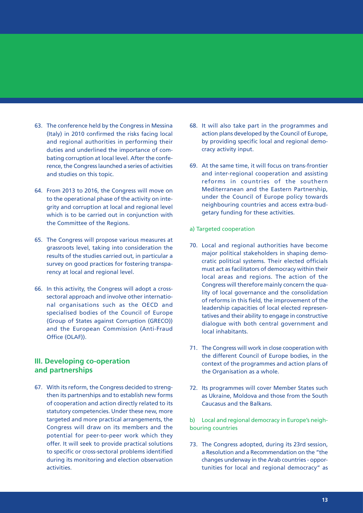- 63. The conference held by the Congress in Messina (Italy) in 2010 confirmed the risks facing local and regional authorities in performing their duties and underlined the importance of combating corruption at local level. After the conference, the Congress launched a series of activities and studies on this topic.
- 64. From 2013 to 2016, the Congress will move on to the operational phase of the activity on integrity and corruption at local and regional level which is to be carried out in conjunction with the Committee of the Regions.
- 65. The Congress will propose various measures at grassroots level, taking into consideration the results of the studies carried out, in particular a survey on good practices for fostering transparency at local and regional level.
- 66. In this activity, the Congress will adopt a crosssectoral approach and involve other international organisations such as the OECD and specialised bodies of the Council of Europe (Group of States against Corruption (GRECO)) and the European Commission (Anti-Fraud Office (OLAF)).

### **III. Developing co-operation and partnerships**

67. With its reform, the Congress decided to strengthen its partnerships and to establish new forms of cooperation and action directly related to its statutory competencies. Under these new, more targeted and more practical arrangements, the Congress will draw on its members and the potential for peer-to-peer work which they offer. It will seek to provide practical solutions to specific or cross-sectoral problems identified during its monitoring and election observation activities.

- 68. It will also take part in the programmes and action plans developed by the Council of Europe, by providing specific local and regional democracy activity input.
- 69. At the same time, it will focus on trans-frontier and inter-regional cooperation and assisting reforms in countries of the southern Mediterranean and the Eastern Partnership, under the Council of Europe policy towards neighbouring countries and access extra-budgetary funding for these activities.
- a) Targeted cooperation
- 70. Local and regional authorities have become major political stakeholders in shaping democratic political systems. Their elected officials must act as facilitators of democracy within their local areas and regions. The action of the Congress will therefore mainly concern the quality of local governance and the consolidation of reforms in this field, the improvement of the leadership capacities of local elected representatives and their ability to engage in constructive dialogue with both central government and local inhabitants.
- 71. The Congress will work in close cooperation with the different Council of Europe bodies, in the context of the programmes and action plans of the Organisation as a whole.
- 72. Its programmes will cover Member States such as Ukraine, Moldova and those from the South Caucasus and the Balkans.

b) Local and regional democracy in Europe's neighbouring countries

73. The Congress adopted, during its 23rd session, a Resolution and a Recommendation on the "the changes underway in the Arab countries - opportunities for local and regional democracy" as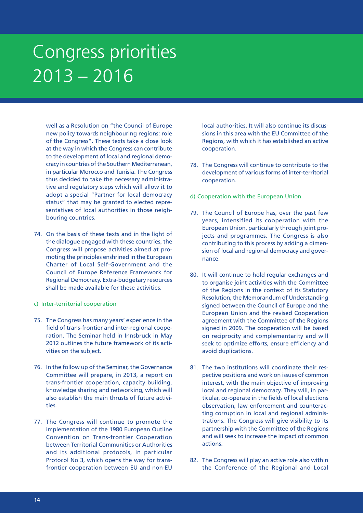well as a Resolution on "the Council of Europe new policy towards neighbouring regions: role of the Congress". These texts take a close look at the way in which the Congress can contribute to the development of local and regional democracy in countries of the Southern Mediterranean, in particular Morocco and Tunisia. The Congress thus decided to take the necessary administrative and regulatory steps which will allow it to adopt a special "Partner for local democracy status" that may be granted to elected representatives of local authorities in those neighbouring countries.

- 74. On the basis of these texts and in the light of the dialogue engaged with these countries, the Congress will propose activities aimed at promoting the principles enshrined in the European Charter of Local Self-Government and the Council of Europe Reference Framework for Regional Democracy. Extra-budgetary resources shall be made available for these activities.
- c) Inter-territorial cooperation
- 75. The Congress has many years' experience in the field of trans-frontier and inter-regional cooperation. The Seminar held in Innsbruck in May 2012 outlines the future framework of its activities on the subject.
- 76. In the follow up of the Seminar, the Governance Committee will prepare, in 2013, a report on trans-frontier cooperation, capacity building, knowledge sharing and networking, which will also establish the main thrusts of future activities.
- 77. The Congress will continue to promote the implementation of the 1980 European Outline Convention on Trans-frontier Cooperation between Territorial Communities or Authorities and its additional protocols, in particular Protocol No 3, which opens the way for transfrontier cooperation between EU and non-EU

local authorities. It will also continue its discussions in this area with the EU Committee of the Regions, with which it has established an active cooperation.

- 78. The Congress will continue to contribute to the development of various forms of inter-territorial cooperation.
- d) Cooperation with the European Union
- 79. The Council of Europe has, over the past few years, intensified its cooperation with the European Union, particularly through joint projects and programmes. The Congress is also contributing to this process by adding a dimension of local and regional democracy and governance.
- 80. It will continue to hold regular exchanges and to organise joint activities with the Committee of the Regions in the context of its Statutory Resolution, the Memorandum of Understanding signed between the Council of Europe and the European Union and the revised Cooperation agreement with the Committee of the Regions signed in 2009. The cooperation will be based on reciprocity and complementarity and will seek to optimize efforts, ensure efficiency and avoid duplications.
- 81. The two institutions will coordinate their respective positions and work on issues of common interest, with the main objective of improving local and regional democracy. They will, in particular, co-operate in the fields of local elections observation, law enforcement and counteracting corruption in local and regional administrations. The Congress will give visibility to its partnership with the Committee of the Regions and will seek to increase the impact of common actions.
- 82. The Congress will play an active role also within the Conference of the Regional and Local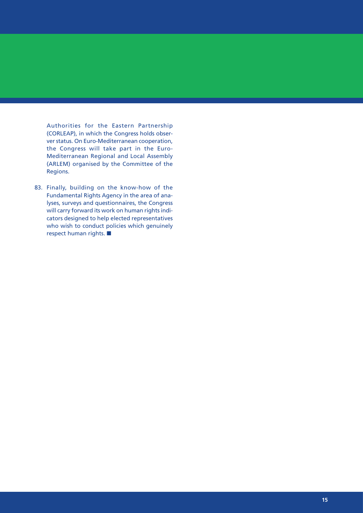Authorities for the Eastern Partnership (CORLEAP), in which the Congress holds observer status. On Euro-Mediterranean cooperation, the Congress will take part in the Euro-Mediterranean Regional and Local Assembly (ARLEM) organised by the Committee of the Regions.

83. Finally, building on the know-how of the Fundamental Rights Agency in the area of analyses, surveys and questionnaires, the Congress will carry forward its work on human rights indicators designed to help elected representatives who wish to conduct policies which genuinely respect human rights.  $\blacksquare$